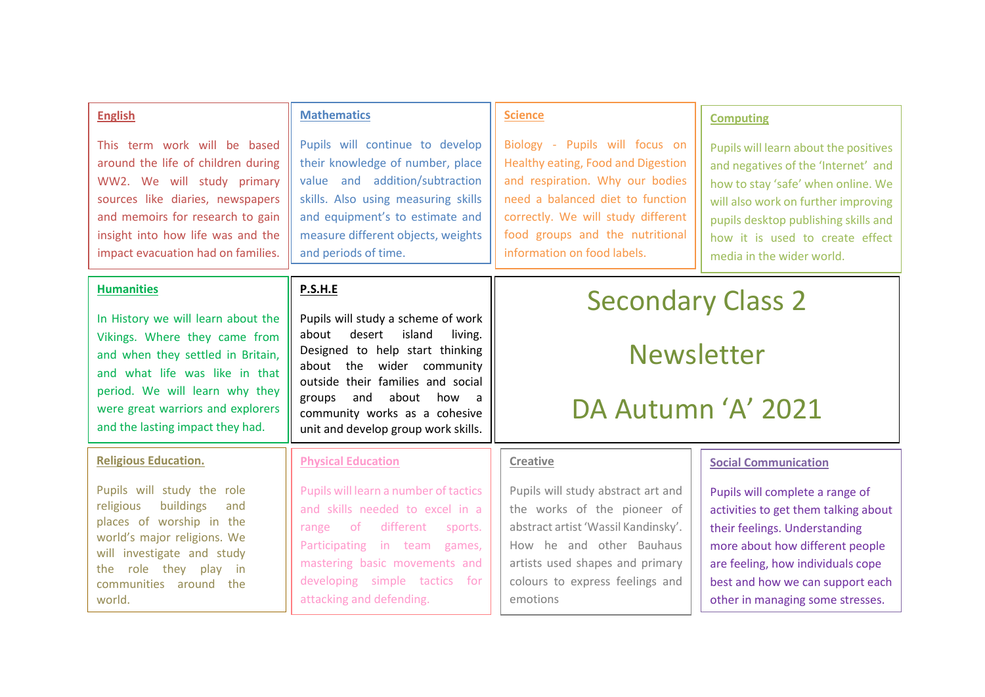| <b>English</b>                                                                                                                                                                                                                                        | <b>Mathematics</b>                                                                                                                                                                                                                                                                              | <b>Science</b>                                                                                                                                                                                                                                      | <b>Computing</b>                                                                                                                                                                                                                                                  |
|-------------------------------------------------------------------------------------------------------------------------------------------------------------------------------------------------------------------------------------------------------|-------------------------------------------------------------------------------------------------------------------------------------------------------------------------------------------------------------------------------------------------------------------------------------------------|-----------------------------------------------------------------------------------------------------------------------------------------------------------------------------------------------------------------------------------------------------|-------------------------------------------------------------------------------------------------------------------------------------------------------------------------------------------------------------------------------------------------------------------|
| This term work will be based<br>around the life of children during<br>WW2. We will study primary<br>sources like diaries, newspapers<br>and memoirs for research to gain<br>insight into how life was and the<br>impact evacuation had on families.   | Pupils will continue to develop<br>their knowledge of number, place<br>value and addition/subtraction<br>skills. Also using measuring skills<br>and equipment's to estimate and<br>measure different objects, weights<br>and periods of time.                                                   | Biology - Pupils will focus on<br>Healthy eating, Food and Digestion<br>and respiration. Why our bodies<br>need a balanced diet to function<br>correctly. We will study different<br>food groups and the nutritional<br>information on food labels. | Pupils will learn about the positives<br>and negatives of the 'Internet' and<br>how to stay 'safe' when online. We<br>will also work on further improving<br>pupils desktop publishing skills and<br>how it is used to create effect<br>media in the wider world. |
| <b>Humanities</b>                                                                                                                                                                                                                                     | P.S.H.E                                                                                                                                                                                                                                                                                         | <b>Secondary Class 2</b><br><b>Newsletter</b><br>DA Autumn 'A' 2021                                                                                                                                                                                 |                                                                                                                                                                                                                                                                   |
| In History we will learn about the<br>Vikings. Where they came from<br>and when they settled in Britain,<br>and what life was like in that<br>period. We will learn why they<br>were great warriors and explorers<br>and the lasting impact they had. | Pupils will study a scheme of work<br>about<br>desert<br>island<br>living.<br>Designed to help start thinking<br>about the wider community<br>outside their families and social<br>and<br>about<br>how<br>groups<br>a -<br>community works as a cohesive<br>unit and develop group work skills. |                                                                                                                                                                                                                                                     |                                                                                                                                                                                                                                                                   |
| <b>Religious Education.</b>                                                                                                                                                                                                                           | <b>Physical Education</b>                                                                                                                                                                                                                                                                       | Creative                                                                                                                                                                                                                                            | <b>Social Communication</b>                                                                                                                                                                                                                                       |
| Pupils will study the role<br>religious<br>buildings<br>and<br>places of worship in the<br>world's major religions. We<br>will investigate and study<br>they play<br>role<br>the<br>- in<br>communities around the<br>world.                          | Pupils will learn a number of tactics<br>and skills needed to excel in a<br>different<br>of.<br>range<br>sports.<br>Participating in team games,<br>mastering basic movements and<br>developing simple tactics<br>tor -<br>attacking and defending.                                             | Pupils will study abstract art and<br>the works of the pioneer of<br>abstract artist 'Wassil Kandinsky'.<br>How he and other Bauhaus<br>artists used shapes and primary<br>colours to express feelings and<br>emotions                              | Pupils will complete a range of<br>activities to get them talking about<br>their feelings. Understanding<br>more about how different people<br>are feeling, how individuals cope<br>best and how we can support each<br>other in managing some stresses.          |